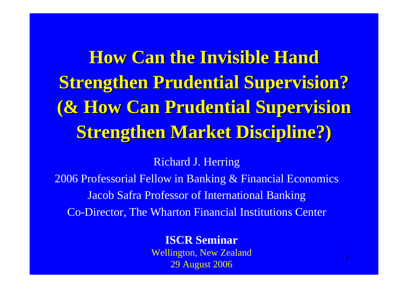**How Can the Invisible Hand Strengthen Prudential Supervision? (& How Can Prudential Supervision (& How Can Prudential Supervision Strengthen Market Discipline?) Strengthen Market Discipline?)**

Richard J. Herring

2006 Professorial Fellow in Banking & Financial Economics Jacob Safra Professor of International Banking Co-Director, The Wharton Financial Institutions Center

**ISCR Seminar**

Wellington, New Zea land 29 Aug ust 2006

1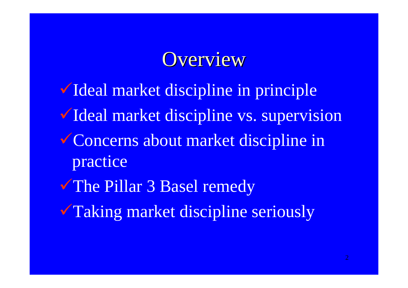### Overview

VIdeal market discipline in principle VIdeal market discipline vs. supervision Concerns about market discipline in practice The Pillar 3 Basel remedy **Taking market discipline seriously**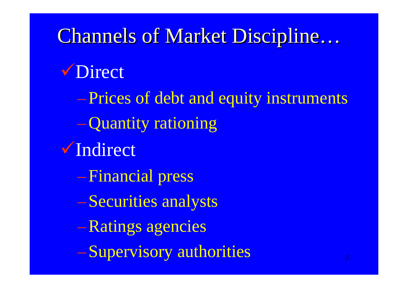3Channels of Market Discipline… **V** Direct –Prices of debt and equity instruments –Quantity rationing VIndirect –Financial press –Securities analysts –Ratings agencies –Supervisory authorities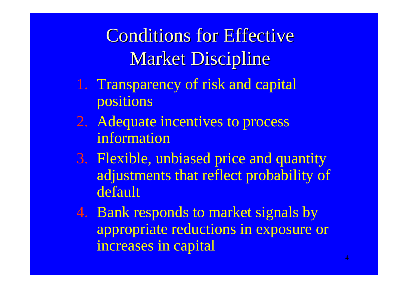Conditions for Effective Market Discipline

- 1. Transparency of risk and capital positions
- 2. Adequate incentives to process information
- 3. Flexible, unbiased price and quantity adjustments that reflect probability of default
- 4. Bank responds to market signals by appropriate reductions in exposure or increases in capital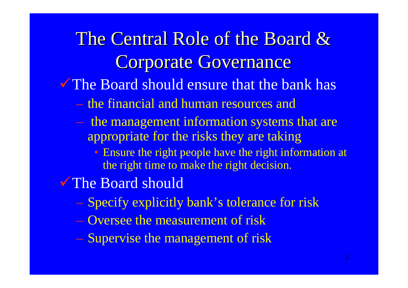# The Central Role of the Board & **Corporate Governance**

The Board should ensure that the bank has

- the financial and human resources and
- the management information systems that are appropriate for the risks they are taking
	- Ensure the right people have the right information at the right time to make the right decision.
- The Board should
	- Specify explicitly bank's tolerance for risk
	- Oversee the measurement of risk
	- Supervise the management of risk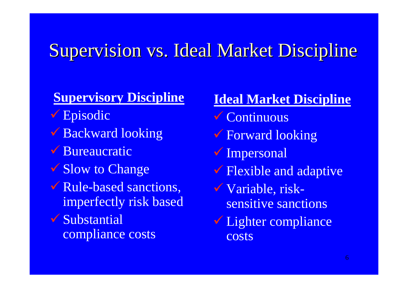### Supervision vs. Ideal Market Discipline

### **Supervisory Discipline**

- 9 Episodic
- Backward looking
- ◆ Bureaucratic
- **Slow to Change**
- **V** Rule-based sanctions, imperfectly risk based
- $\checkmark$  Substantial compliance costs

#### **Ideal Market Discipline**

- $\checkmark$  Continuous
- 9 Forward looking
- 9 Impersonal
- 9 Flexible and adaptive
- 9 Variable, risksensitive sanctions
- Lighter compliance costs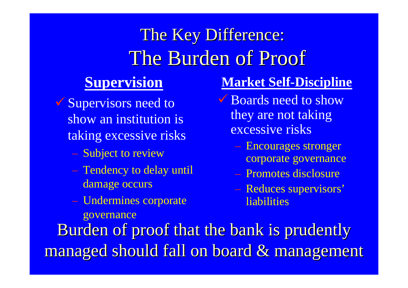## The Key Difference: The Burden of Proof

### **Supervision**

- 9 Supervisors need to show an institution is taking excessive risks
	- Subject to review
	- Tendency to delay until damage occurs
	- Undermines corporate governance

### **Market Self-Discipline**

- Boards need to show they are not taking excessive risks
	- Encourages stronger corporate governance
	- Promotes disclosure
	- Reduces supervisors' liabilities

managed should fall on board & management Burden of proof that the bank is prudently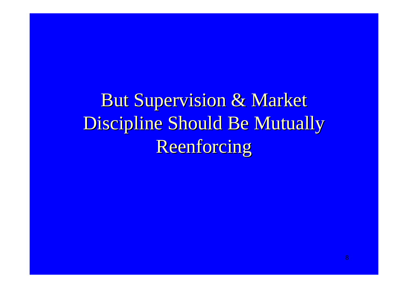**But Supervision & Market** Discipline Should Be Mutually Reenforcing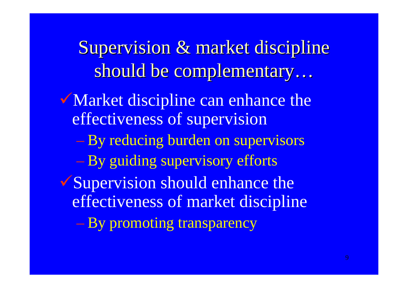Supervision & market discipline should be complementary…

- Market discipline can enhance the effectiveness of supervision
	- By reducing burden on supervisors
	- By guiding supervisory efforts
- **Supervision should enhance the** effectiveness of market discipline
	- By promoting transparency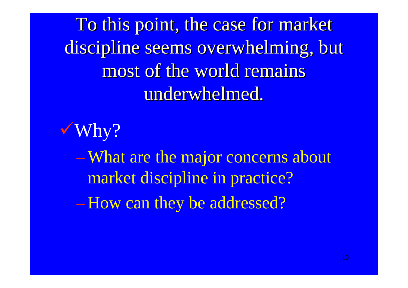To this point, the case for market discipline seems overwhelming, but most of the world remains underwhelmed.



–What are the major concerns about market discipline in practice? –How can they be addressed?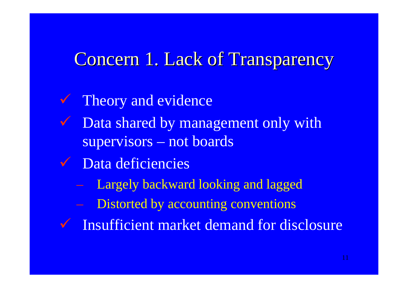### Concern 1. Lack of Transparency

 $\checkmark$  Theory and evidence  $\sqrt{ }$  Data shared by management only with supervisors – not boards  $\sqrt{ }$  Data deficiencies Largely backward looking and lagged Distorted by accounting conventions  $\checkmark$  Insufficient market demand for disclosure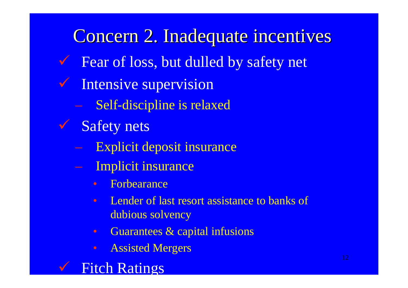Concern 2. Inadequate incentives  $\checkmark$  Fear of loss, but dulled by safety net  $\sqrt{2}$  Intensive supervision Self-discipline is relaxed  $\checkmark$ Safety nets Explicit deposit insurance Implicit insurance  $\bullet$  ForbearanceLender of last resort assistance to banks of dubious solvency Guarantees & capital infusions

- $\bullet$ Assisted Mergers
- $\checkmark$ **V** Fitch Ratings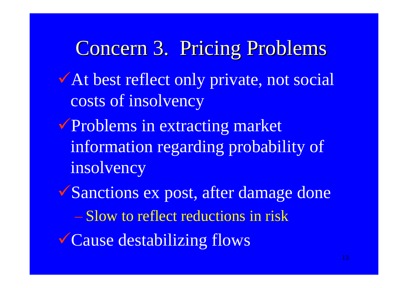Concern 3. Pricing Problems At best reflect only private, not social costs of insolvency **Problems in extracting market** information regarding probability of insolvency <sup>9</sup>Sanctions ex post, after damage done – Slow to reflect reductions in risk <sup>9</sup>Cause destabilizing flows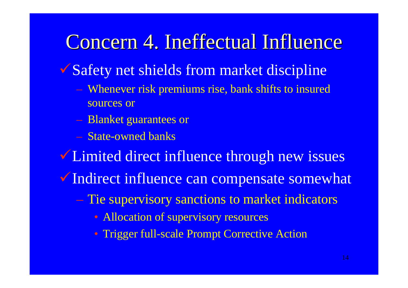## Concern 4. Ineffectual Influence

- ◆ Safety net shields from market discipline
	- Whenever risk premiums rise, bank shifts to insured sources or
	- Blanket guarantees or
	- State-owned banks
- **V** Limited direct influence through new issues
- V Indirect influence can compensate somewhat
	- Tie supervisory sanctions to market indicators
		- Allocation of supervisory resources
		- Trigger full-scale Prompt Corrective Action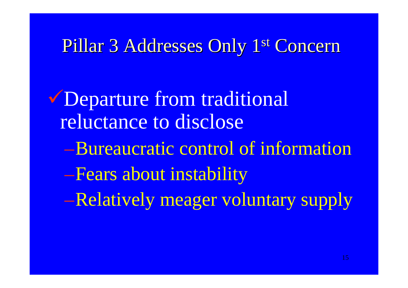### Pillar 3 Addresses Only 1<sup>st</sup> Concern

<sup>9</sup>Departure from traditional reluctance to disclose–Bureaucratic control of information–Fears about instability –Relatively meager voluntary supply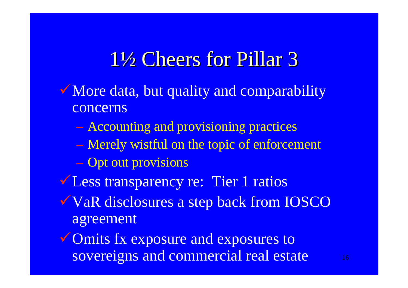## 1½ Cheers for Pillar 3

- More data, but quality and comparability concerns
	- Accounting and provisioning practices
	- Merely wistful on the topic of enforcement
	- Opt out provisions
- **VLess transparency re: Tier 1 ratios**
- **VaR disclosures a step back from IOSCO** agreement

 $\checkmark$  Omits fx exposure and exposures to sovereigns and commercial real estate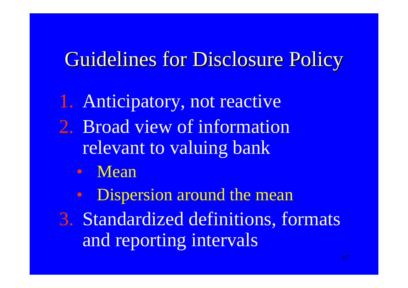## Guidelines for Disclosure Policy

1. Anticipatory, not reactive 2. Broad view of information relevant to valuing bank

- $\bullet$ **Mean**
- $\bigcirc$ Dispersion around the mean
- 3. Standardized definitions, formats and reporting intervals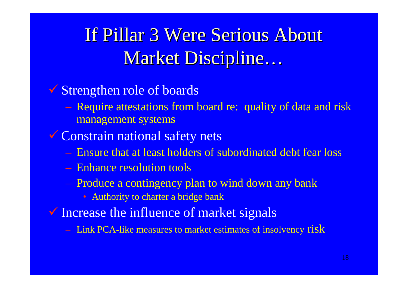## If Pillar 3 Were Serious About Market Discipline…

#### 9 Strengthen role of boards

 Require attestations from board re: quality of data and risk management systems

#### Gonstrain national safety nets

- Ensure that at least holders of subordinated debt fear loss
- Enhance resolution tools
- Produce a contingency plan to wind down any bank
	- Authority to charter a bridge bank
- **V** Increase the influence of market signals
	- $-$  Link PCA-like measures to market estimates of insolvency  ${\rm risk}$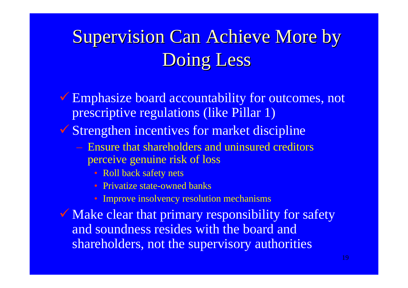# **Supervision Can Achieve More by** Doing Less

**Emphasize board accountability for outcomes, not** prescriptive regulations (like Pillar 1)

9 Strengthen incentives for market discipline

- Ensure that shareholders and uninsured creditors perceive genuine risk of loss
	- Roll back safety nets
	- Privatize state-owned banks
	- Improve insolvency resolution mechanisms

Make clear that primary responsibility for safety and soundness resides with the board and shareholders, not the supervisory authorities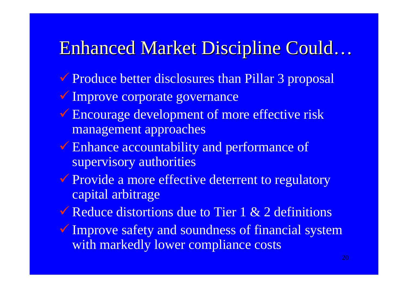### Enhanced Market Discipline Could… Enhanced Market Discipline Could…

- Produce better disclosures than Pillar 3 proposal
- **V** Improve corporate governance
- Encourage development of more effective risk management approaches
- Enhance accountability and performance of supervisory authorities
- Provide a more effective deterrent to regulatory capital arbitrage
- $\checkmark$  Reduce distortions due to Tier 1 & 2 definitions
- **V** Improve safety and soundness of financial system with markedly lower compliance costs